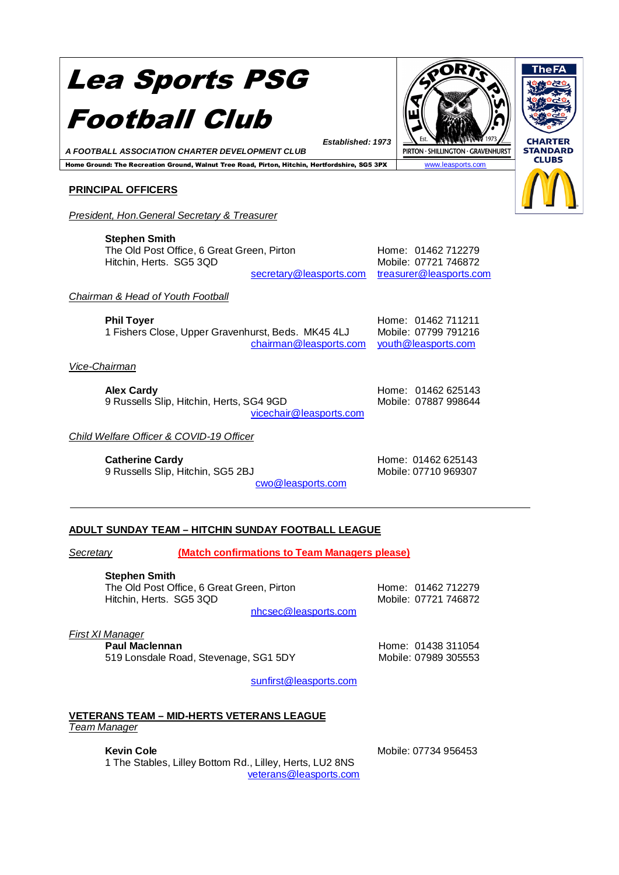

**Alex Cardy** Home: 01462 625143 9 Russells Slip, Hitchin, Herts, SG4 9GD Mobile: 07887 998644 vicechair@leasports.com

Child Welfare Officer & COVID-19 Officer

**Catherine Cardy Catherine Cardy Home: 01462 625143** 

9 Russells Slip, Hitchin, SG5 2BJ Mobile: 07710 969307

# cwo@leasports.com

### **ADULT SUNDAY TEAM – HITCHIN SUNDAY FOOTBALL LEAGUE**

#### Secretary **(Match confirmations to Team Managers please)**

**Stephen Smith** The Old Post Office, 6 Great Green, Pirton Home: 01462 712279 Hitchin, Herts. SG5 3QD Mobile: 07721 746872

nhcsec@leasports.com

First XI Manager

**Paul Maclennan Paul Maclennan Home: 01438 311054** 519 Lonsdale Road, Stevenage, SG1 5DY Mobile: 07989 305553

sunfirst@leasports.com

# **VETERANS TEAM – MID-HERTS VETERANS LEAGUE**

Team Manager

**Kevin Cole Mobile: 07734 956453** 

1 The Stables, Lilley Bottom Rd., Lilley, Herts, LU2 8NS veterans@leasports.com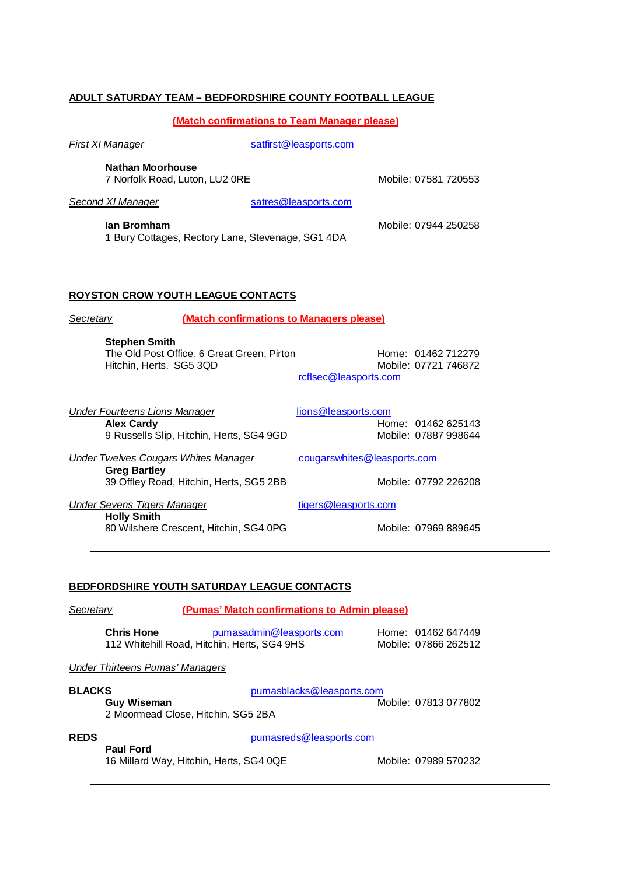# **ADULT SATURDAY TEAM – BEDFORDSHIRE COUNTY FOOTBALL LEAGUE**

# **(Match confirmations to Team Manager please)**

| First XI Manager                                                   |                                                                         | satfirst@leasports.com                       |                                            |  |  |  |  |  |  |
|--------------------------------------------------------------------|-------------------------------------------------------------------------|----------------------------------------------|--------------------------------------------|--|--|--|--|--|--|
| <b>Nathan Moorhouse</b>                                            | 7 Norfolk Road, Luton, LU2 ORE                                          |                                              | Mobile: 07581 720553                       |  |  |  |  |  |  |
| <b>Second XI Manager</b>                                           |                                                                         | satres@leasports.com                         |                                            |  |  |  |  |  |  |
| lan Bromham                                                        | 1 Bury Cottages, Rectory Lane, Stevenage, SG1 4DA                       |                                              | Mobile: 07944 250258                       |  |  |  |  |  |  |
| <b>ROYSTON CROW YOUTH LEAGUE CONTACTS</b>                          |                                                                         |                                              |                                            |  |  |  |  |  |  |
| Secretary                                                          | (Match confirmations to Managers please)                                |                                              |                                            |  |  |  |  |  |  |
| <b>Stephen Smith</b><br>Hitchin, Herts. SG5 3QD                    | The Old Post Office, 6 Great Green, Pirton                              | rcflsec@leasports.com                        | Home: 01462 712279<br>Mobile: 07721 746872 |  |  |  |  |  |  |
| <b>Under Fourteens Lions Manager</b><br><b>Alex Cardy</b>          | 9 Russells Slip, Hitchin, Herts, SG4 9GD                                | lions@leasports.com                          | Home: 01462 625143<br>Mobile: 07887 998644 |  |  |  |  |  |  |
| <b>Under Twelves Cougars Whites Manager</b><br><b>Greg Bartley</b> |                                                                         | cougarswhites@leasports.com                  |                                            |  |  |  |  |  |  |
|                                                                    | 39 Offley Road, Hitchin, Herts, SG5 2BB                                 |                                              | Mobile: 07792 226208                       |  |  |  |  |  |  |
| <b>Under Sevens Tigers Manager</b><br><b>Holly Smith</b>           |                                                                         | tigers@leasports.com                         |                                            |  |  |  |  |  |  |
|                                                                    | 80 Wilshere Crescent, Hitchin, SG4 0PG                                  |                                              | Mobile: 07969 889645                       |  |  |  |  |  |  |
| BEDFORDSHIRE YOUTH SATURDAY LEAGUE CONTACTS                        |                                                                         |                                              |                                            |  |  |  |  |  |  |
| <b>Secretary</b>                                                   |                                                                         | (Pumas' Match confirmations to Admin please) |                                            |  |  |  |  |  |  |
| <b>Chris Hone</b>                                                  | pumasadmin@leasports.com<br>112 Whitehill Road, Hitchin, Herts, SG4 9HS |                                              | Home: 01462 647449<br>Mobile: 07866 262512 |  |  |  |  |  |  |
| <b>Under Thirteens Pumas' Managers</b>                             |                                                                         |                                              |                                            |  |  |  |  |  |  |
| <b>BLACKS</b><br><b>Guy Wiseman</b>                                | 2 Moormead Close, Hitchin, SG5 2BA                                      | pumasblacks@leasports.com                    | Mobile: 07813 077802                       |  |  |  |  |  |  |
| <b>REDS</b>                                                        |                                                                         | pumasreds@leasports.com                      |                                            |  |  |  |  |  |  |
| <b>Paul Ford</b>                                                   | 16 Millard Way, Hitchin, Herts, SG4 0QE                                 |                                              | Mobile: 07989 570232                       |  |  |  |  |  |  |